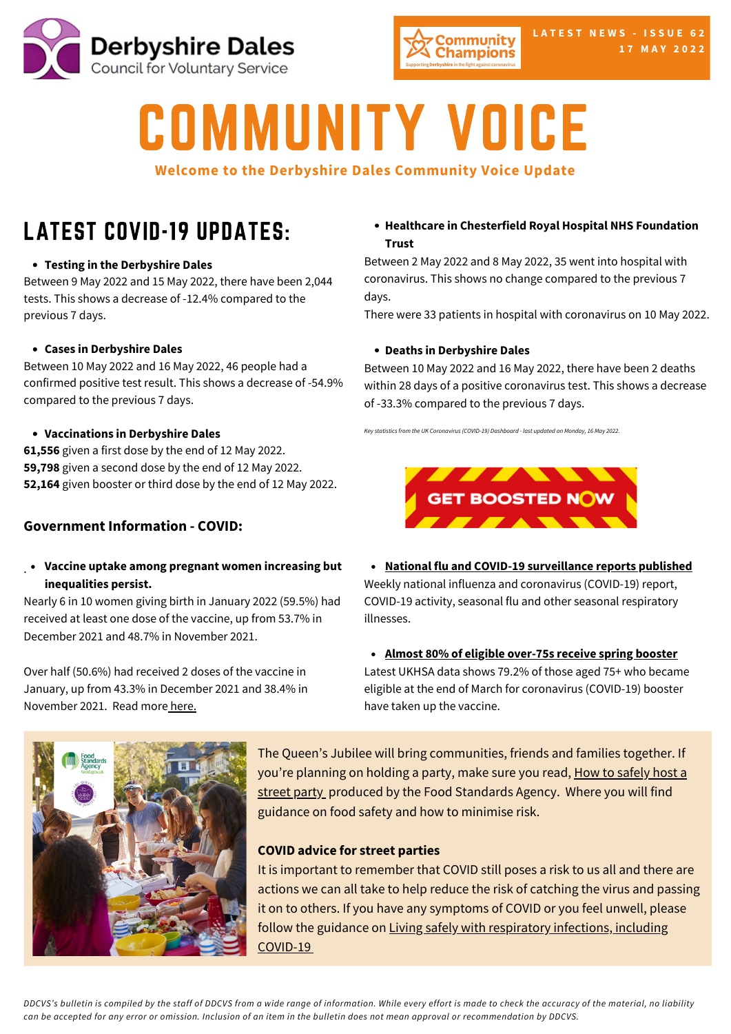



# COMMUNITY VOICE

#### **Welcome to the Derbyshire Dales Community Voice Update**

# LATEST COVID-19 UPDATES:

#### **Testing in the [Derbyshire](https://www.gov.uk/guidance/covid-19-coronavirus-restrictions-what-you-can-and-cannot-do?priority-taxon=774cee22-d896-44c1-a611-e3109cce8eae) Dales**

Between 9 May 2022 and 15 May 2022, there have been 2,044 tests. This shows a decrease of -12.4% compared to the previous 7 days.

#### **Cases in [Derbyshire](https://www.gov.uk/guidance/covid-19-coronavirus-restrictions-what-you-can-and-cannot-do?priority-taxon=774cee22-d896-44c1-a611-e3109cce8eae) Dales**

Between 10 May 2022 and 16 May 2022, 46 people had a [confirmed](https://www.gov.uk/guidance/covid-19-coronavirus-restrictions-what-you-can-and-cannot-do?priority-taxon=774cee22-d896-44c1-a611-e3109cce8eae) positive test result. This shows a decrease of -54.9% compared to the previous 7 days.

#### **[Vaccinations](https://www.gov.uk/guidance/covid-19-coronavirus-restrictions-what-you-can-and-cannot-do?priority-taxon=774cee22-d896-44c1-a611-e3109cce8eae) in Derbyshire Dales**

**61,556** given a first dose by the end of 12 May 2022. **59,798** given a second dose by the end of 12 May 2022. **52,164** given booster or third dose by the end of 12 May 2022.

#### **Government Information - COVID:**

#### . **Vaccine uptake among pregnant women increasing but inequalities persist.**

Nearly 6 in 10 women giving birth in January 2022 (59.5%) had received at least one dose of the vaccine, up from 53.7% in December 2021 and 48.7% in November 2021.

Over half (50.6%) had received 2 doses of the vaccine in January, up from 43.3% in December 2021 and 38.4% in November 2021. Read more [here.](https://www.gov.uk/government/news/vaccine-uptake-among-pregnant-women-increasing-but-inequalities-persist)

#### **Healthcare in Chesterfield Royal Hospital NHS Foundation Trust**

Between 2 May 2022 and 8 May 2022, 35 went into hospital with coronavirus. This shows no change compared to the previous 7 days.

There were 33 patients in hospital with coronavirus on 10 May 2022.

#### **Deaths in Derbyshire Dales**

Between 10 May 2022 and 16 May 2022, there have been 2 deaths within 28 days of a positive coronavirus test. This shows a decrease of -33.3% compared to the previous 7 days.

*Key statistics from the UK Coronavirus (COVID-19) Dashboard - last updated on Monday, 16 May 2022.*



**National flu and COVID-19 [surveillance](https://www.gov.uk/government/news/national-flu-and-covid-19-surveillance-reports-published) reports published**

Weekly national influenza and coronavirus (COVID-19) report, COVID-19 activity, seasonal flu and other seasonal respiratory illnesses.

**Almost 80% of eligible [over-75s](https://www.gov.uk/government/news/almost-80-of-eligible-over-75s-receive-spring-booster) receive spring booster** Latest UKHSA data shows 79.2% of those aged 75+ who became eligible at the end of March for coronavirus (COVID-19) booster have taken up the vaccine.



The Queen's Jubilee will bring communities, friends and families together. If you're planning on holding a party, make sure you read, How to safely host a street part[y](https://www.food.gov.uk/how-to-safely-host-a-street-party?fbclid=IwAR2RlUbfbCWM7AGQcC6BxeWqFzXJ2qSGLcLyTo84ak6DgVKfGpUXS4rE_jc) produced by the Food [Standards](https://www.food.gov.uk/how-to-safely-host-a-street-party?fbclid=IwAR2RlUbfbCWM7AGQcC6BxeWqFzXJ2qSGLcLyTo84ak6DgVKfGpUXS4rE_jc) Agency. Where you will find guidance on food safety and how to minimise risk.

#### **COVID advice for street parties**

It is important to remember that COVID still poses a risk to us all and there are actions we can all take to help reduce the risk of catching the virus and passing it on to others. If you have any symptoms of COVID or you feel unwell, please follow the guidance on Living safely with [respiratory](https://www.gov.uk/guidance/living-safely-with-respiratory-infections-including-covid-19?priority-taxon=774cee22-d896-44c1-a611-e3109cce8eae) infections, including COVID-19

DDCVS's bulletin is compiled by the staff of DDCVS from a wide range of information. While every effort is made to check the accuracy of the material, no liability can be accepted for any error or omission. Inclusion of an item in the bulletin does not mean approval or recommendation by DDCVS.